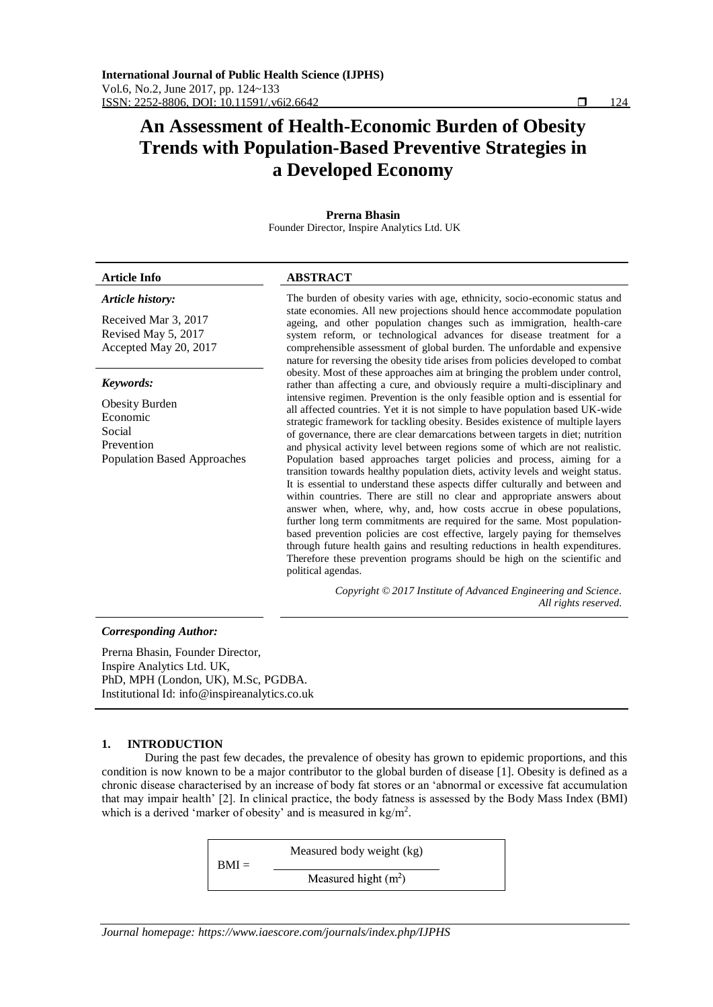# **An Assessment of Health-Economic Burden of Obesity Trends with Population-Based Preventive Strategies in a Developed Economy**

| Prerna Bhasin<br>Founder Director, Inspire Analytics Ltd. UK                                                 |                                                                                                                                                                                                                                                                                                                                                                                                                                                                                                                                                                                                                                                                                                                                                                                                                                                                                                                                                                                                                                                                                                                                                                                                                                                                                                                                    |  |  |
|--------------------------------------------------------------------------------------------------------------|------------------------------------------------------------------------------------------------------------------------------------------------------------------------------------------------------------------------------------------------------------------------------------------------------------------------------------------------------------------------------------------------------------------------------------------------------------------------------------------------------------------------------------------------------------------------------------------------------------------------------------------------------------------------------------------------------------------------------------------------------------------------------------------------------------------------------------------------------------------------------------------------------------------------------------------------------------------------------------------------------------------------------------------------------------------------------------------------------------------------------------------------------------------------------------------------------------------------------------------------------------------------------------------------------------------------------------|--|--|
| Article Info                                                                                                 | <b>ABSTRACT</b>                                                                                                                                                                                                                                                                                                                                                                                                                                                                                                                                                                                                                                                                                                                                                                                                                                                                                                                                                                                                                                                                                                                                                                                                                                                                                                                    |  |  |
| Article history:<br>Received Mar 3, 2017<br>Revised May 5, 2017<br>Accepted May 20, 2017                     | The burden of obesity varies with age, ethnicity, socio-economic status and<br>state economies. All new projections should hence accommodate population<br>ageing, and other population changes such as immigration, health-care<br>system reform, or technological advances for disease treatment for a<br>comprehensible assessment of global burden. The unfordable and expensive<br>nature for reversing the obesity tide arises from policies developed to combat                                                                                                                                                                                                                                                                                                                                                                                                                                                                                                                                                                                                                                                                                                                                                                                                                                                             |  |  |
| Keywords:<br><b>Obesity Burden</b><br>Economic<br>Social<br>Prevention<br><b>Population Based Approaches</b> | obesity. Most of these approaches aim at bringing the problem under control,<br>rather than affecting a cure, and obviously require a multi-disciplinary and<br>intensive regimen. Prevention is the only feasible option and is essential for<br>all affected countries. Yet it is not simple to have population based UK-wide<br>strategic framework for tackling obesity. Besides existence of multiple layers<br>of governance, there are clear demarcations between targets in diet; nutrition<br>and physical activity level between regions some of which are not realistic.<br>Population based approaches target policies and process, aiming for a<br>transition towards healthy population diets, activity levels and weight status.<br>It is essential to understand these aspects differ culturally and between and<br>within countries. There are still no clear and appropriate answers about<br>answer when, where, why, and, how costs accrue in obese populations,<br>further long term commitments are required for the same. Most population-<br>based prevention policies are cost effective, largely paying for themselves<br>through future health gains and resulting reductions in health expenditures.<br>Therefore these prevention programs should be high on the scientific and<br>political agendas. |  |  |

*Copyright © 2017 Institute of Advanced Engineering and Science. All rights reserved.*

### *Corresponding Author:*

Prerna Bhasin, Founder Director, Inspire Analytics Ltd. UK, PhD, MPH (London, UK), M.Sc, PGDBA. Institutional Id: info@inspireanalytics.co.uk

## **1. INTRODUCTION**

During the past few decades, the prevalence of obesity has grown to epidemic proportions, and this condition is now known to be a major contributor to the global burden of disease [1]. Obesity is defined as a chronic disease characterised by an increase of body fat stores or an 'abnormal or excessive fat accumulation that may impair health' [2]. In clinical practice, the body fatness is assessed by the Body Mass Index (BMI) which is a derived 'marker of obesity' and is measured in  $\text{kg/m}^2$ .

| $BMI =$ | Measured body weight (kg) |  |
|---------|---------------------------|--|
|         | Measured hight $(m2)$     |  |

*Journal homepage: https://www.iaescore.com/journals/index.php/IJPHS*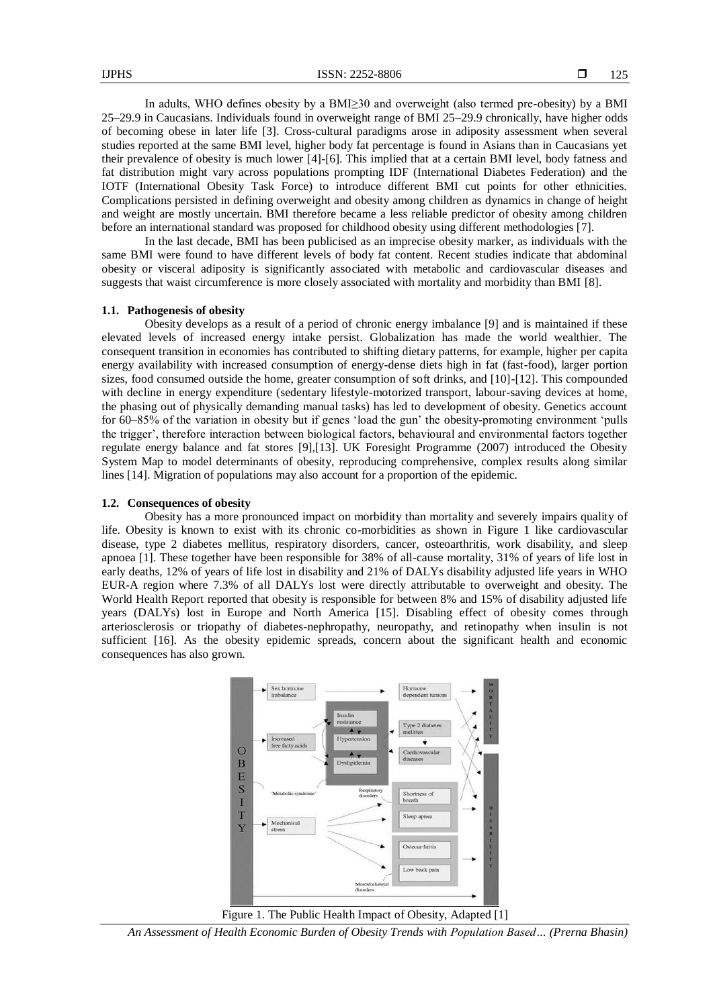In adults, WHO defines obesity by a BMI≥30 and overweight (also termed pre-obesity) by a BMI 25–29.9 in Caucasians. Individuals found in overweight range of BMI 25–29.9 chronically, have higher odds of becoming obese in later life [3]. Cross-cultural paradigms arose in adiposity assessment when several studies reported at the same BMI level, higher body fat percentage is found in Asians than in Caucasians yet their prevalence of obesity is much lower [4]-[6]. This implied that at a certain BMI level, body fatness and fat distribution might vary across populations prompting IDF (International Diabetes Federation) and the IOTF (International Obesity Task Force) to introduce different BMI cut points for other ethnicities. Complications persisted in defining overweight and obesity among children as dynamics in change of height and weight are mostly uncertain. BMI therefore became a less reliable predictor of obesity among children before an international standard was proposed for childhood obesity using different methodologies [7].

In the last decade, BMI has been publicised as an imprecise obesity marker, as individuals with the same BMI were found to have different levels of body fat content. Recent studies indicate that abdominal obesity or visceral adiposity is significantly associated with metabolic and cardiovascular diseases and suggests that waist circumference is more closely associated with mortality and morbidity than BMI [8].

#### **1.1. Pathogenesis of obesity**

Obesity develops as a result of a period of chronic energy imbalance [9] and is maintained if these elevated levels of increased energy intake persist. Globalization has made the world wealthier. The consequent transition in economies has contributed to shifting dietary patterns, for example, higher per capita energy availability with increased consumption of energy-dense diets high in fat (fast-food), larger portion sizes, food consumed outside the home, greater consumption of soft drinks, and [10]-[12]. This compounded with decline in energy expenditure (sedentary lifestyle-motorized transport, labour-saving devices at home, the phasing out of physically demanding manual tasks) has led to development of obesity. Genetics account for 60–85% of the variation in obesity but if genes 'load the gun' the obesity-promoting environment 'pulls the trigger', therefore interaction between biological factors, behavioural and environmental factors together regulate energy balance and fat stores [9],[13]. UK Foresight Programme (2007) introduced the Obesity System Map to model determinants of obesity, reproducing comprehensive, complex results along similar lines [14]. Migration of populations may also account for a proportion of the epidemic.

#### **1.2. Consequences of obesity**

Obesity has a more pronounced impact on morbidity than mortality and severely impairs quality of life. Obesity is known to exist with its chronic co-morbidities as shown in Figure 1 like cardiovascular disease, type 2 diabetes mellitus, respiratory disorders, cancer, osteoarthritis, work disability, and sleep apnoea [1]. These together have been responsible for 38% of all-cause mortality, 31% of years of life lost in early deaths, 12% of years of life lost in disability and 21% of DALYs disability adjusted life years in WHO EUR-A region where 7.3% of all DALYs lost were directly attributable to overweight and obesity. The World Health Report reported that obesity is responsible for between 8% and 15% of disability adjusted life years (DALYs) lost in Europe and North America [15]. Disabling effect of obesity comes through arteriosclerosis or triopathy of diabetes-nephropathy, neuropathy, and retinopathy when insulin is not sufficient [16]. As the obesity epidemic spreads, concern about the significant health and economic consequences has also grown.



Figure 1. The Public Health Impact of Obesity, Adapted [1]

*An Assessment of Health Economic Burden of Obesity Trends with Population Based… (Prerna Bhasin)*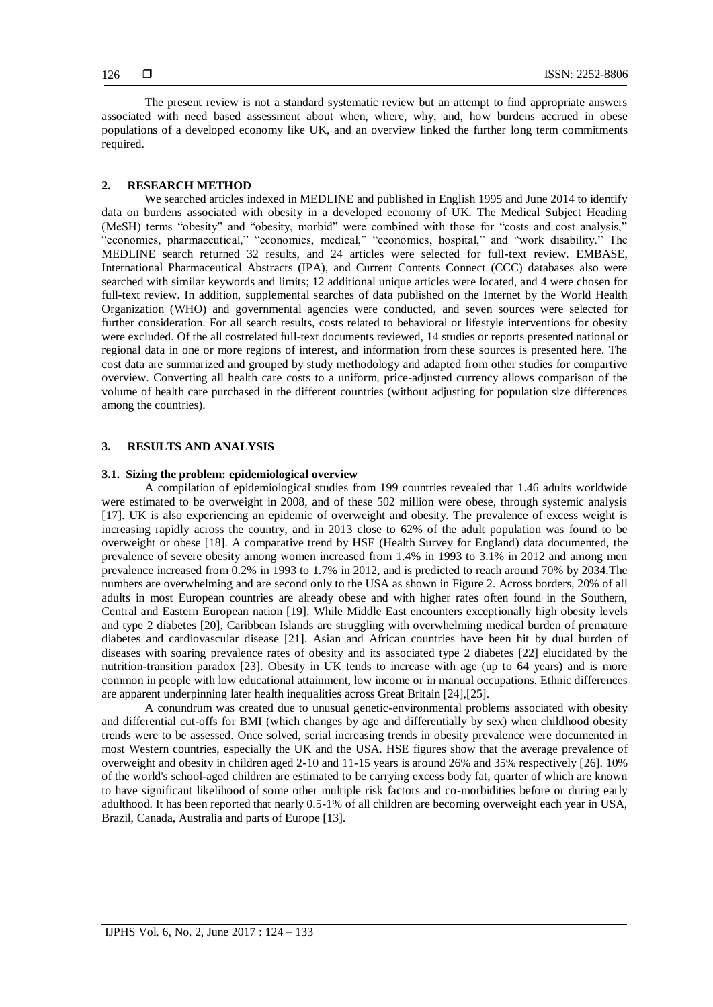The present review is not a standard systematic review but an attempt to find appropriate answers associated with need based assessment about when, where, why, and, how burdens accrued in obese populations of a developed economy like UK, and an overview linked the further long term commitments required.

#### **2. RESEARCH METHOD**

We searched articles indexed in MEDLINE and published in English 1995 and June 2014 to identify data on burdens associated with obesity in a developed economy of UK. The Medical Subject Heading (MeSH) terms "obesity" and "obesity, morbid" were combined with those for "costs and cost analysis," "economics, pharmaceutical," "economics, medical," "economics, hospital," and "work disability." The MEDLINE search returned 32 results, and 24 articles were selected for full-text review. EMBASE, International Pharmaceutical Abstracts (IPA), and Current Contents Connect (CCC) databases also were searched with similar keywords and limits; 12 additional unique articles were located, and 4 were chosen for full-text review. In addition, supplemental searches of data published on the Internet by the World Health Organization (WHO) and governmental agencies were conducted, and seven sources were selected for further consideration. For all search results, costs related to behavioral or lifestyle interventions for obesity were excluded. Of the all costrelated full-text documents reviewed, 14 studies or reports presented national or regional data in one or more regions of interest, and information from these sources is presented here. The cost data are summarized and grouped by study methodology and adapted from other studies for compartive overview. Converting all health care costs to a uniform, price-adjusted currency allows comparison of the volume of health care purchased in the different countries (without adjusting for population size differences among the countries).

#### **3. RESULTS AND ANALYSIS**

#### **3.1. Sizing the problem: epidemiological overview**

A compilation of epidemiological studies from 199 countries revealed that 1.46 adults worldwide were estimated to be overweight in 2008, and of these 502 million were obese, through systemic analysis [17]. UK is also experiencing an epidemic of overweight and obesity. The prevalence of excess weight is increasing rapidly across the country, and in 2013 close to 62% of the adult population was found to be overweight or obese [18]. A comparative trend by HSE (Health Survey for England) data documented, the prevalence of severe obesity among women increased from 1.4% in 1993 to 3.1% in 2012 and among men prevalence increased from 0.2% in 1993 to 1.7% in 2012, and is predicted to reach around 70% by 2034.The numbers are overwhelming and are second only to the USA as shown in Figure 2. Across borders, 20% of all adults in most European countries are already obese and with higher rates often found in the Southern, Central and Eastern European nation [19]. While Middle East encounters exceptionally high obesity levels and type 2 diabetes [20], Caribbean Islands are struggling with overwhelming medical burden of premature diabetes and cardiovascular disease [21]. Asian and African countries have been hit by dual burden of diseases with soaring prevalence rates of obesity and its associated type 2 diabetes [22] elucidated by the nutrition-transition paradox [23]. Obesity in UK tends to increase with age (up to 64 years) and is more common in people with low educational attainment, low income or in manual occupations. Ethnic differences are apparent underpinning later health inequalities across Great Britain [24],[25].

A conundrum was created due to unusual genetic-environmental problems associated with obesity and differential cut-offs for BMI (which changes by age and differentially by sex) when childhood obesity trends were to be assessed. Once solved, serial increasing trends in obesity prevalence were documented in most Western countries, especially the UK and the USA. HSE figures show that the average prevalence of overweight and obesity in children aged 2-10 and 11-15 years is around 26% and 35% respectively [26]. 10% of the world's school-aged children are estimated to be carrying excess body fat, quarter of which are known to have significant likelihood of some other multiple risk factors and co-morbidities before or during early adulthood. It has been reported that nearly 0.5-1% of all children are becoming overweight each year in USA, Brazil, Canada, Australia and parts of Europe [13].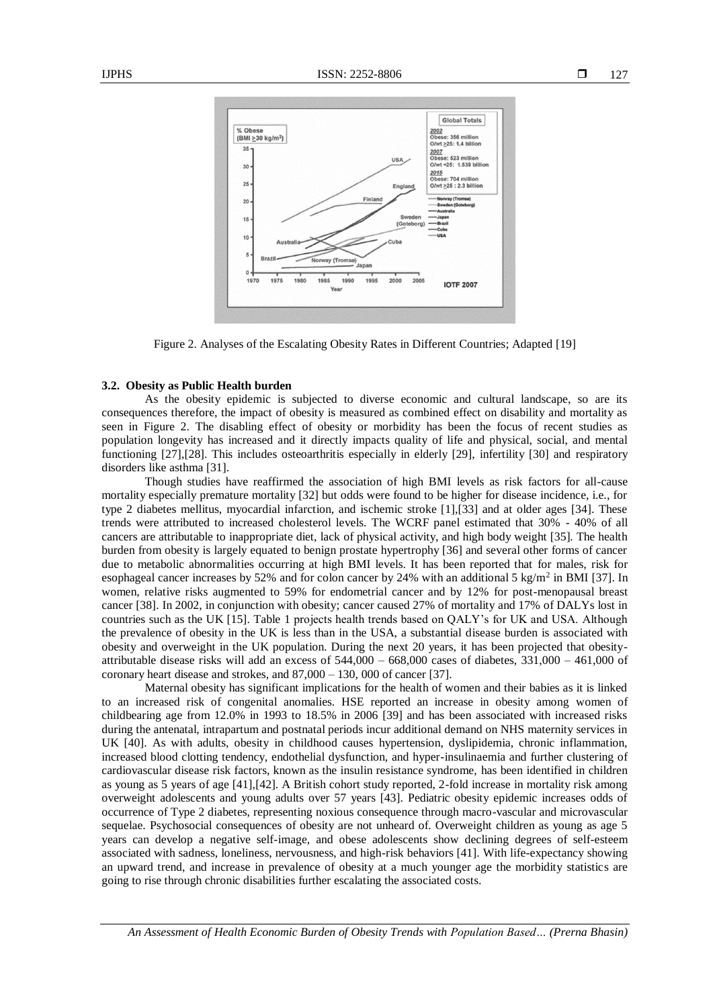



Figure 2. Analyses of the Escalating Obesity Rates in Different Countries; Adapted [19]

#### **3.2. Obesity as Public Health burden**

As the obesity epidemic is subjected to diverse economic and cultural landscape, so are its consequences therefore, the impact of obesity is measured as combined effect on disability and mortality as seen in Figure 2. The disabling effect of obesity or morbidity has been the focus of recent studies as population longevity has increased and it directly impacts quality of life and physical, social, and mental functioning [27],[28]. This includes osteoarthritis especially in elderly [29], infertility [30] and respiratory disorders like asthma [31].

Though studies have reaffirmed the association of high BMI levels as risk factors for all-cause mortality especially premature mortality [32] but odds were found to be higher for disease incidence, i.e., for type 2 diabetes mellitus, myocardial infarction, and ischemic stroke [1],[33] and at older ages [34]. These trends were attributed to increased cholesterol levels. The WCRF panel estimated that 30% - 40% of all cancers are attributable to inappropriate diet, lack of physical activity, and high body weight [35]. The health burden from obesity is largely equated to benign prostate hypertrophy [36] and several other forms of cancer due to metabolic abnormalities occurring at high BMI levels. It has been reported that for males, risk for esophageal cancer increases by 52% and for colon cancer by 24% with an additional 5 kg/m<sup>2</sup> in BMI [37]. In women, relative risks augmented to 59% for endometrial cancer and by 12% for post-menopausal breast cancer [38]. In 2002, in conjunction with obesity; cancer caused 27% of mortality and 17% of DALYs lost in countries such as the UK [15]. Table 1 projects health trends based on QALY's for UK and USA. Although the prevalence of obesity in the UK is less than in the USA, a substantial disease burden is associated with obesity and overweight in the UK population. During the next 20 years, it has been projected that obesityattributable disease risks will add an excess of 544,000 – 668,000 cases of diabetes, 331,000 – 461,000 of coronary heart disease and strokes, and 87,000 – 130, 000 of cancer [37].

Maternal obesity has significant implications for the health of women and their babies as it is linked to an increased risk of congenital anomalies. HSE reported an increase in obesity among women of childbearing age from 12.0% in 1993 to 18.5% in 2006 [39] and has been associated with increased risks during the antenatal, intrapartum and postnatal periods incur additional demand on NHS maternity services in UK [40]. As with adults, obesity in childhood causes hypertension, dyslipidemia, chronic inflammation, increased blood clotting tendency, endothelial dysfunction, and hyper-insulinaemia and further clustering of cardiovascular disease risk factors, known as the insulin resistance syndrome, has been identified in children as young as 5 years of age [41],[42]. A British cohort study reported, 2-fold increase in mortality risk among overweight adolescents and young adults over 57 years [43]. Pediatric obesity epidemic increases odds of occurrence of Type 2 diabetes, representing noxious consequence through macro-vascular and microvascular sequelae. Psychosocial consequences of obesity are not unheard of. Overweight children as young as age 5 years can develop a negative self-image, and obese adolescents show declining degrees of self-esteem associated with sadness, loneliness, nervousness, and high-risk behaviors [41]. With life-expectancy showing an upward trend, and increase in prevalence of obesity at a much younger age the morbidity statistics are going to rise through chronic disabilities further escalating the associated costs.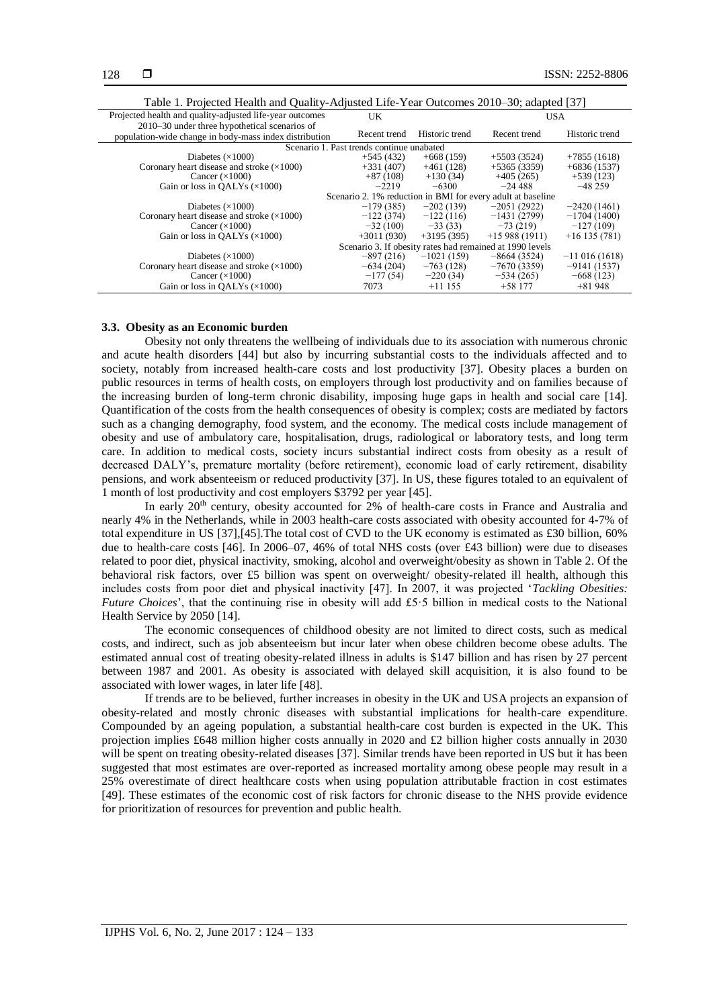| Projected health and quality-adjusted life-year outcomes | UK                                        |                | <b>USA</b>                                                  |                 |
|----------------------------------------------------------|-------------------------------------------|----------------|-------------------------------------------------------------|-----------------|
| 2010–30 under three hypothetical scenarios of            |                                           |                |                                                             |                 |
| population-wide change in body-mass index distribution   | Recent trend                              | Historic trend | Recent trend                                                | Historic trend  |
|                                                          | Scenario 1. Past trends continue unabated |                |                                                             |                 |
| Diabetes $(\times 1000)$                                 | $+545(432)$                               | $+668(159)$    | $+5503(3524)$                                               | $+7855(1618)$   |
| Coronary heart disease and stroke $(\times 1000)$        | $+331(407)$                               | $+461(128)$    | $+5365(3359)$                                               | $+6836(1537)$   |
| Cancer $(\times 1000)$                                   | $+87(108)$                                | $+130(34)$     | $+405(265)$                                                 | $+539(123)$     |
| Gain or loss in OALYs $(\times 1000)$                    | $-2219$                                   | $-6300$        | $-24.488$                                                   | $-48259$        |
|                                                          |                                           |                | Scenario 2. 1% reduction in BMI for every adult at baseline |                 |
| Diabetes $(\times 1000)$                                 | $-179(385)$                               | $-202(139)$    | $-2051(2922)$                                               | $-2420(1461)$   |
| Coronary heart disease and stroke $(\times 1000)$        | $-122(374)$                               | $-122(116)$    | $-1431(2799)$                                               | $-1704(1400)$   |
| Cancer $(\times 1000)$                                   | $-32(100)$                                | $-33(33)$      | $-73(219)$                                                  | $-127(109)$     |
| Gain or loss in OALYs $(\times 1000)$                    | $+3011(930)$                              | $+3195(395)$   | $+15988(1911)$                                              | $+16$ 135 (781) |
|                                                          |                                           |                | Scenario 3. If obesity rates had remained at 1990 levels    |                 |
| Diabetes $(\times 1000)$                                 | $-897(216)$                               | $-1021(159)$   | $-8664(3524)$                                               | $-11016(1618)$  |
| Coronary heart disease and stroke $(\times 1000)$        | $-634(204)$                               | $-763(128)$    | $-7670(3359)$                                               | $-9141(1537)$   |
| Cancer $(\times 1000)$                                   | $-177(54)$                                | $-220(34)$     | $-534(265)$                                                 | $-668(123)$     |
| Gain or loss in OALYs $(\times 1000)$                    | 7073                                      | $+11155$       | $+58177$                                                    | $+81948$        |

#### **3.3. Obesity as an Economic burden**

Obesity not only threatens the wellbeing of individuals due to its association with numerous chronic and acute health disorders [44] but also by incurring substantial costs to the individuals affected and to society, notably from increased health-care costs and lost productivity [37]. Obesity places a burden on public resources in terms of health costs, on employers through lost productivity and on families because of the increasing burden of long-term chronic disability, imposing huge gaps in health and social care [14]. Quantification of the costs from the health consequences of obesity is complex; costs are mediated by factors such as a changing demography, food system, and the economy. The medical costs include management of obesity and use of ambulatory care, hospitalisation, drugs, radiological or laboratory tests, and long term care. In addition to medical costs, society incurs substantial indirect costs from obesity as a result of decreased DALY's, premature mortality (before retirement), economic load of early retirement, disability pensions, and work absenteeism or reduced productivity [37]. In US, these figures totaled to an equivalent of 1 month of lost productivity and cost employers \$3792 per year [45].

In early  $20<sup>th</sup>$  century, obesity accounted for 2% of health-care costs in France and Australia and nearly 4% in the Netherlands, while in 2003 health-care costs associated with obesity accounted for 4-7% of total expenditure in US [37],[45].The total cost of CVD to the UK economy is estimated as £30 billion, 60% due to health-care costs [46]. In 2006–07, 46% of total NHS costs (over £43 billion) were due to diseases related to poor diet, physical inactivity, smoking, alcohol and overweight/obesity as shown in Table 2. Of the behavioral risk factors, over £5 billion was spent on overweight/ obesity-related ill health, although this includes costs from poor diet and physical inactivity [47]. In 2007, it was projected '*Tackling Obesities: Future Choices*', that the continuing rise in obesity will add £5.5 billion in medical costs to the National Health Service by 2050 [14].

The economic consequences of childhood obesity are not limited to direct costs, such as medical costs, and indirect, such as job absenteeism but incur later when obese children become obese adults. The estimated annual cost of treating obesity-related illness in adults is \$147 billion and has risen by 27 percent between 1987 and 2001. As obesity is associated with delayed skill acquisition, it is also found to be associated with lower wages, in later life [48].

If trends are to be believed, further increases in obesity in the UK and USA projects an expansion of obesity-related and mostly chronic diseases with substantial implications for health-care expenditure. Compounded by an ageing population, a substantial health-care cost burden is expected in the UK. This projection implies £648 million higher costs annually in 2020 and £2 billion higher costs annually in 2030 will be spent on treating obesity-related diseases [37]. Similar trends have been reported in US but it has been suggested that most estimates are over-reported as increased mortality among obese people may result in a 25% overestimate of direct healthcare costs when using population attributable fraction in cost estimates [49]. These estimates of the economic cost of risk factors for chronic disease to the NHS provide evidence for prioritization of resources for prevention and public health.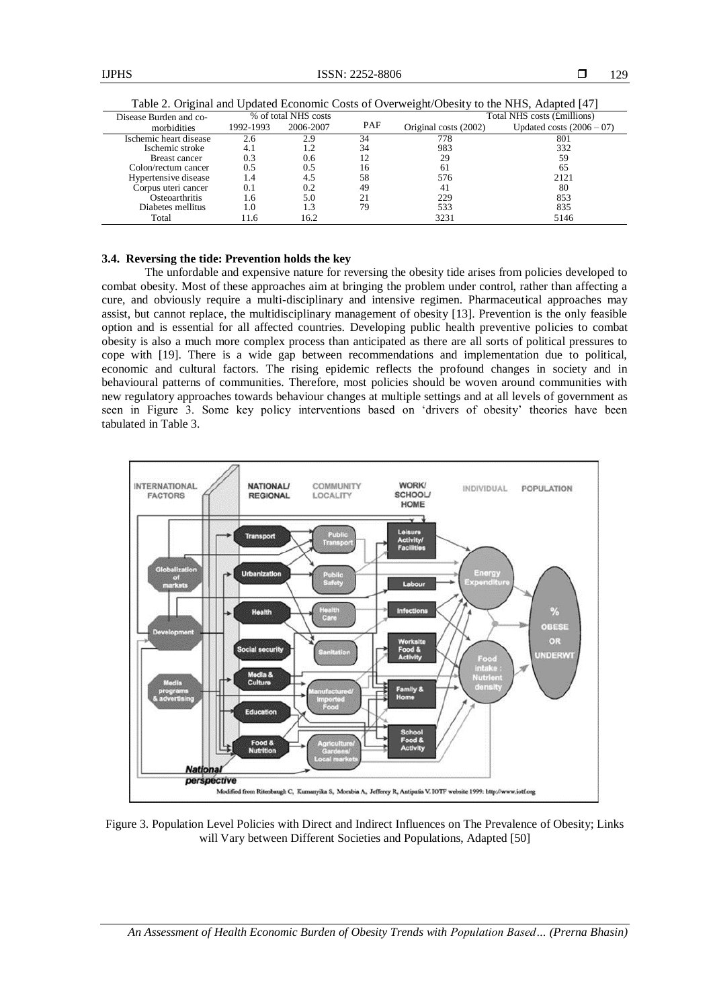| Disease Burden and co- | % of total NHS costs |           |     |                       | Total NHS costs (£millions) |
|------------------------|----------------------|-----------|-----|-----------------------|-----------------------------|
| morbidities            | 1992-1993            | 2006-2007 | PAF | Original costs (2002) | Updated costs $(2006 - 07)$ |
| Ischemic heart disease | 2.6                  | 2.9       | 34  | 778                   | 801                         |
| Ischemic stroke        | 4.1                  |           | 34  | 983                   | 332                         |
| <b>Breast cancer</b>   | 0.3                  | 0.6       |     | 29                    | 59                          |
| Colon/rectum cancer    | 0.5                  | 0.5       | 16  | 61                    | 65                          |
| Hypertensive disease   | 1.4                  | 4.5       | 58  | 576                   | 2121                        |
| Corpus uteri cancer    | 0.1                  | 0.2       | 49  | 41                    | 80                          |
| Osteoarthritis         | 1.6                  | 5.0       |     | 229                   | 853                         |
| Diabetes mellitus      | 1.0                  | 1.3       | 79  | 533                   | 835                         |
| Total                  | 11.6                 | 16.2      |     | 3231                  | 5146                        |

Table 2. Original and Updated Economic Costs of Overweight/Obesity to the NHS, Adapted [47]

# **3.4. Reversing the tide: Prevention holds the key**

The unfordable and expensive nature for reversing the obesity tide arises from policies developed to combat obesity. Most of these approaches aim at bringing the problem under control, rather than affecting a cure, and obviously require a multi-disciplinary and intensive regimen. Pharmaceutical approaches may assist, but cannot replace, the multidisciplinary management of obesity [13]. Prevention is the only feasible option and is essential for all affected countries. Developing public health preventive policies to combat obesity is also a much more complex process than anticipated as there are all sorts of political pressures to cope with [19]. There is a wide gap between recommendations and implementation due to political, economic and cultural factors. The rising epidemic reflects the profound changes in society and in behavioural patterns of communities. Therefore, most policies should be woven around communities with new regulatory approaches towards behaviour changes at multiple settings and at all levels of government as seen in Figure 3. Some key policy interventions based on 'drivers of obesity' theories have been tabulated in Table 3.



Figure 3. Population Level Policies with Direct and Indirect Influences on The Prevalence of Obesity; Links will Vary between Different Societies and Populations, Adapted [50]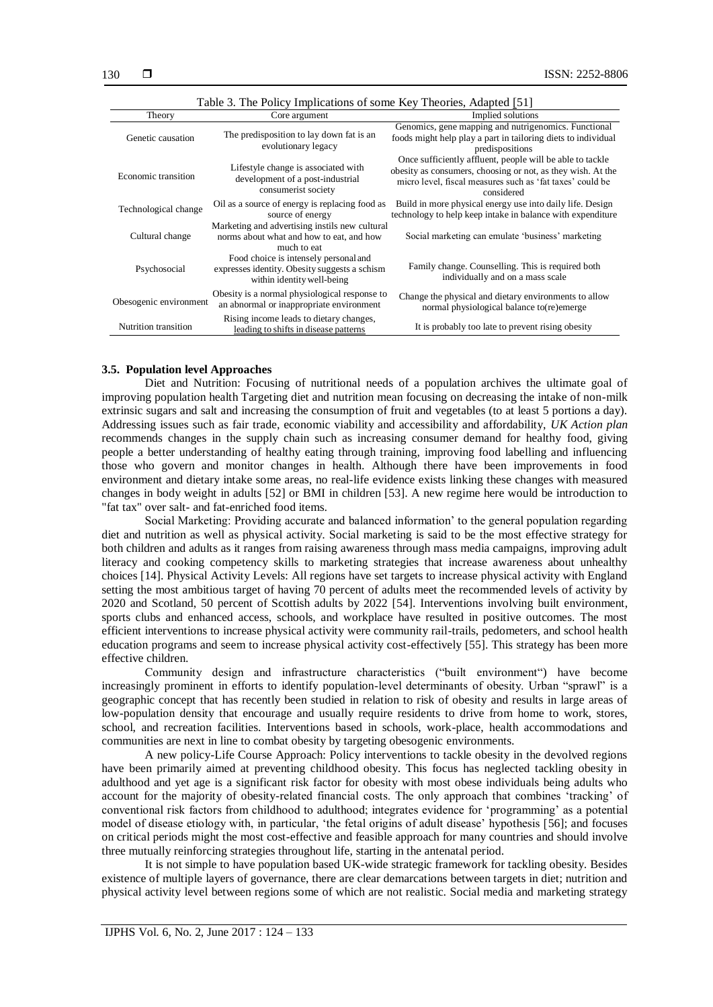| Table 5. The Follow Implications of some Key Fileories, Auapteu [31] |                                                                                                                      |                                                                                                                                                                                                     |  |
|----------------------------------------------------------------------|----------------------------------------------------------------------------------------------------------------------|-----------------------------------------------------------------------------------------------------------------------------------------------------------------------------------------------------|--|
| Theory                                                               | Core argument                                                                                                        | Implied solutions                                                                                                                                                                                   |  |
| Genetic causation                                                    | The predisposition to lay down fat is an<br>evolutionary legacy                                                      | Genomics, gene mapping and nutrigenomics. Functional<br>foods might help play a part in tailoring diets to individual<br>predispositions                                                            |  |
| Economic transition                                                  | Lifestyle change is associated with<br>development of a post-industrial<br>consumerist society                       | Once sufficiently affluent, people will be able to tackle<br>obesity as consumers, choosing or not, as they wish. At the<br>micro level, fiscal measures such as 'fat taxes' could be<br>considered |  |
| Technological change                                                 | Oil as a source of energy is replacing food as<br>source of energy                                                   | Build in more physical energy use into daily life. Design<br>technology to help keep intake in balance with expenditure                                                                             |  |
| Cultural change                                                      | Marketing and advertising instils new cultural<br>norms about what and how to eat, and how<br>much to eat            | Social marketing can emulate 'business' marketing                                                                                                                                                   |  |
| Psychosocial                                                         | Food choice is intensely personal and<br>expresses identity. Obesity suggests a schism<br>within identity well-being | Family change. Counselling. This is required both<br>individually and on a mass scale                                                                                                               |  |
| Obesogenic environment                                               | Obesity is a normal physiological response to<br>an abnormal or inappropriate environment                            | Change the physical and dietary environments to allow<br>normal physiological balance to (re)emerge                                                                                                 |  |
| Nutrition transition                                                 | Rising income leads to dietary changes,<br>leading to shifts in disease patterns                                     | It is probably too late to prevent rising obesity                                                                                                                                                   |  |

### **3.5. Population level Approaches**

Diet and Nutrition: Focusing of nutritional needs of a population archives the ultimate goal of improving population health Targeting diet and nutrition mean focusing on decreasing the intake of non-milk extrinsic sugars and salt and increasing the consumption of fruit and vegetables (to at least 5 portions a day). Addressing issues such as fair trade, economic viability and accessibility and affordability, *UK Action plan*  recommends changes in the supply chain such as increasing consumer demand for healthy food, giving people a better understanding of healthy eating through training, improving food labelling and influencing those who govern and monitor changes in health. Although there have been improvements in food environment and dietary intake some areas, no real-life evidence exists linking these changes with measured changes in body weight in adults [52] or BMI in children [53]. A new regime here would be introduction to "fat tax" over salt- and fat-enriched food items.

Social Marketing: Providing accurate and balanced information' to the general population regarding diet and nutrition as well as physical activity. Social marketing is said to be the most effective strategy for both children and adults as it ranges from raising awareness through mass media campaigns, improving adult literacy and cooking competency skills to marketing strategies that increase awareness about unhealthy choices [14]. Physical Activity Levels: All regions have set targets to increase physical activity with England setting the most ambitious target of having 70 percent of adults meet the recommended levels of activity by 2020 and Scotland, 50 percent of Scottish adults by 2022 [54]. Interventions involving built environment, sports clubs and enhanced access, schools, and workplace have resulted in positive outcomes. The most efficient interventions to increase physical activity were community rail-trails, pedometers, and school health education programs and seem to increase physical activity cost-effectively [55]. This strategy has been more effective children.

Community design and infrastructure characteristics ("built environment") have become increasingly prominent in efforts to identify population-level determinants of obesity. Urban "sprawl" is a geographic concept that has recently been studied in relation to risk of obesity and results in large areas of low-population density that encourage and usually require residents to drive from home to work, stores, school, and recreation facilities. Interventions based in schools, work-place, health accommodations and communities are next in line to combat obesity by targeting obesogenic environments.

A new policy-Life Course Approach: Policy interventions to tackle obesity in the devolved regions have been primarily aimed at preventing childhood obesity. This focus has neglected tackling obesity in adulthood and yet age is a significant risk factor for obesity with most obese individuals being adults who account for the majority of obesity-related financial costs. The only approach that combines 'tracking' of conventional risk factors from childhood to adulthood; integrates evidence for 'programming' as a potential model of disease etiology with, in particular, 'the fetal origins of adult disease' hypothesis [56]; and focuses on critical periods might the most cost-effective and feasible approach for many countries and should involve three mutually reinforcing strategies throughout life, starting in the antenatal period.

It is not simple to have population based UK-wide strategic framework for tackling obesity. Besides existence of multiple layers of governance, there are clear demarcations between targets in diet; nutrition and physical activity level between regions some of which are not realistic. Social media and marketing strategy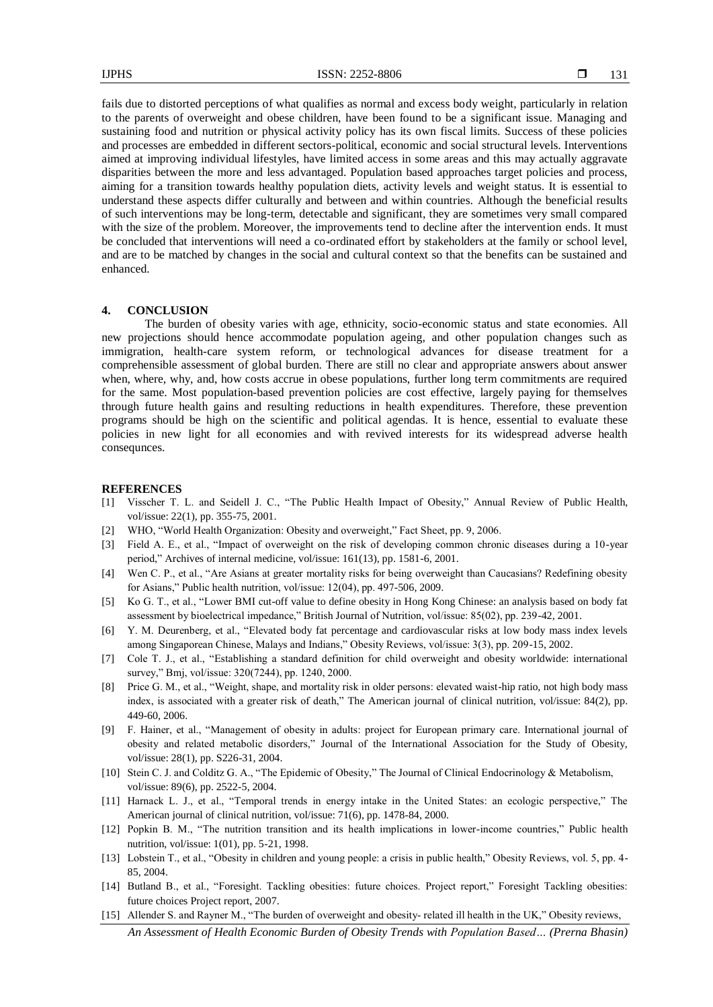fails due to distorted perceptions of what qualifies as normal and excess body weight, particularly in relation to the parents of overweight and obese children, have been found to be a significant issue. Managing and sustaining food and nutrition or physical activity policy has its own fiscal limits. Success of these policies and processes are embedded in different sectors-political, economic and social structural levels. Interventions aimed at improving individual lifestyles, have limited access in some areas and this may actually aggravate disparities between the more and less advantaged. Population based approaches target policies and process, aiming for a transition towards healthy population diets, activity levels and weight status. It is essential to understand these aspects differ culturally and between and within countries. Although the beneficial results of such interventions may be long-term, detectable and significant, they are sometimes very small compared with the size of the problem. Moreover, the improvements tend to decline after the intervention ends. It must be concluded that interventions will need a co-ordinated effort by stakeholders at the family or school level, and are to be matched by changes in the social and cultural context so that the benefits can be sustained and enhanced.

### **4. CONCLUSION**

The burden of obesity varies with age, ethnicity, socio-economic status and state economies. All new projections should hence accommodate population ageing, and other population changes such as immigration, health-care system reform, or technological advances for disease treatment for a comprehensible assessment of global burden. There are still no clear and appropriate answers about answer when, where, why, and, how costs accrue in obese populations, further long term commitments are required for the same. Most population-based prevention policies are cost effective, largely paying for themselves through future health gains and resulting reductions in health expenditures. Therefore, these prevention programs should be high on the scientific and political agendas. It is hence, essential to evaluate these policies in new light for all economies and with revived interests for its widespread adverse health consequnces.

#### **REFERENCES**

- [1] Visscher T. L. and Seidell J. C., "The Public Health Impact of Obesity," Annual Review of Public Health, vol/issue: 22(1), pp. 355-75, 2001.
- [2] WHO, "World Health Organization: Obesity and overweight," Fact Sheet, pp. 9, 2006.
- [3] Field A. E., et al., "Impact of overweight on the risk of developing common chronic diseases during a 10-year period," Archives of internal medicine, vol/issue: 161(13), pp. 1581-6, 2001.
- [4] Wen C. P., et al., "Are Asians at greater mortality risks for being overweight than Caucasians? Redefining obesity for Asians," Public health nutrition, vol/issue: 12(04), pp. 497-506, 2009.
- [5] Ko G. T., et al., "Lower BMI cut-off value to define obesity in Hong Kong Chinese: an analysis based on body fat assessment by bioelectrical impedance," British Journal of Nutrition, vol/issue: 85(02), pp. 239-42, 2001.
- [6] Y. M. Deurenberg, et al., "Elevated body fat percentage and cardiovascular risks at low body mass index levels among Singaporean Chinese, Malays and Indians," Obesity Reviews, vol/issue: 3(3), pp. 209-15, 2002.
- [7] Cole T. J., et al., "Establishing a standard definition for child overweight and obesity worldwide: international survey," Bmj, vol/issue: 320(7244), pp. 1240, 2000.
- [8] Price G. M., et al., "Weight, shape, and mortality risk in older persons: elevated waist-hip ratio, not high body mass index, is associated with a greater risk of death," The American journal of clinical nutrition, vol/issue: 84(2), pp. 449-60, 2006.
- [9] F. Hainer, et al., "Management of obesity in adults: project for European primary care. International journal of obesity and related metabolic disorders," Journal of the International Association for the Study of Obesity, vol/issue: 28(1), pp. S226-31, 2004.
- [10] Stein C. J. and Colditz G. A., "The Epidemic of Obesity," The Journal of Clinical Endocrinology & Metabolism, vol/issue: 89(6), pp. 2522-5, 2004.
- [11] Harnack L. J., et al., "Temporal trends in energy intake in the United States: an ecologic perspective," The American journal of clinical nutrition, vol/issue: 71(6), pp. 1478-84, 2000.
- [12] Popkin B. M., "The nutrition transition and its health implications in lower-income countries," Public health nutrition, vol/issue: 1(01), pp. 5-21, 1998.
- [13] Lobstein T., et al., "Obesity in children and young people: a crisis in public health," Obesity Reviews, vol. 5, pp. 4- 85, 2004.
- [14] Butland B., et al., "Foresight. Tackling obesities: future choices. Project report," Foresight Tackling obesities: future choices Project report, 2007.
- *An Assessment of Health Economic Burden of Obesity Trends with Population Based… (Prerna Bhasin)* [15] Allender S. and Rayner M., "The burden of overweight and obesity-related ill health in the UK," Obesity reviews,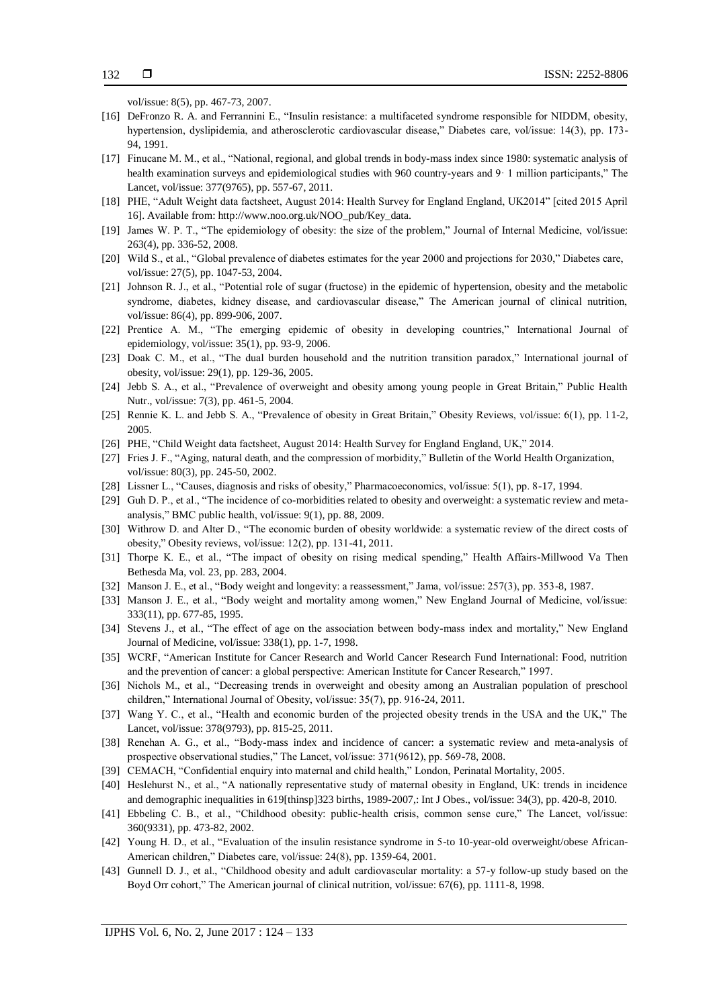vol/issue: 8(5), pp. 467-73, 2007.

- [16] DeFronzo R. A. and Ferrannini E., "Insulin resistance: a multifaceted syndrome responsible for NIDDM, obesity, hypertension, dyslipidemia, and atherosclerotic cardiovascular disease," Diabetes care, vol/issue: 14(3), pp. 173- 94, 1991.
- [17] Finucane M. M., et al., "National, regional, and global trends in body-mass index since 1980: systematic analysis of health examination surveys and epidemiological studies with 960 country-years and 9  $\cdot$  1 million participants," The Lancet, vol/issue: 377(9765), pp. 557-67, 2011.
- [18] PHE, "Adult Weight data factsheet, August 2014: Health Survey for England England, UK2014" [cited 2015 April 16]. Available from: http://www.noo.org.uk/NOO\_pub/Key\_data.
- [19] James W. P. T., "The epidemiology of obesity: the size of the problem," Journal of Internal Medicine, vol/issue: 263(4), pp. 336-52, 2008.
- [20] Wild S., et al., "Global prevalence of diabetes estimates for the year 2000 and projections for 2030," Diabetes care, vol/issue: 27(5), pp. 1047-53, 2004.
- [21] Johnson R. J., et al., "Potential role of sugar (fructose) in the epidemic of hypertension, obesity and the metabolic syndrome, diabetes, kidney disease, and cardiovascular disease," The American journal of clinical nutrition, vol/issue: 86(4), pp. 899-906, 2007.
- [22] Prentice A. M., "The emerging epidemic of obesity in developing countries," International Journal of epidemiology, vol/issue: 35(1), pp. 93-9, 2006.
- [23] Doak C. M., et al., "The dual burden household and the nutrition transition paradox," International journal of obesity, vol/issue: 29(1), pp. 129-36, 2005.
- [24] Jebb S. A., et al., "Prevalence of overweight and obesity among young people in Great Britain," Public Health Nutr., vol/issue: 7(3), pp. 461-5, 2004.
- [25] Rennie K. L. and Jebb S. A., "Prevalence of obesity in Great Britain," Obesity Reviews, vol/issue: 6(1), pp. 11-2, 2005.
- [26] PHE, "Child Weight data factsheet, August 2014: Health Survey for England England, UK," 2014.
- [27] Fries J. F., "Aging, natural death, and the compression of morbidity," Bulletin of the World Health Organization, vol/issue: 80(3), pp. 245-50, 2002.
- [28] Lissner L., "Causes, diagnosis and risks of obesity," Pharmacoeconomics, vol/issue: 5(1), pp. 8-17, 1994.
- [29] Guh D. P., et al., "The incidence of co-morbidities related to obesity and overweight: a systematic review and metaanalysis," BMC public health, vol/issue: 9(1), pp. 88, 2009.
- [30] Withrow D. and Alter D., "The economic burden of obesity worldwide: a systematic review of the direct costs of obesity," Obesity reviews, vol/issue: 12(2), pp. 131-41, 2011.
- [31] Thorpe K. E., et al., "The impact of obesity on rising medical spending," Health Affairs-Millwood Va Then Bethesda Ma, vol. 23, pp. 283, 2004.
- [32] Manson J. E., et al., "Body weight and longevity: a reassessment," Jama, vol/issue: 257(3), pp. 353-8, 1987.
- [33] Manson J. E., et al., "Body weight and mortality among women," New England Journal of Medicine, vol/issue: 333(11), pp. 677-85, 1995.
- [34] Stevens J., et al., "The effect of age on the association between body-mass index and mortality," New England Journal of Medicine, vol/issue: 338(1), pp. 1-7, 1998.
- [35] WCRF, "American Institute for Cancer Research and World Cancer Research Fund International: Food, nutrition and the prevention of cancer: a global perspective: American Institute for Cancer Research," 1997.
- [36] Nichols M., et al., "Decreasing trends in overweight and obesity among an Australian population of preschool children," International Journal of Obesity, vol/issue: 35(7), pp. 916-24, 2011.
- [37] Wang Y. C., et al., "Health and economic burden of the projected obesity trends in the USA and the UK," The Lancet, vol/issue: 378(9793), pp. 815-25, 2011.
- [38] Renehan A. G., et al., "Body-mass index and incidence of cancer: a systematic review and meta-analysis of prospective observational studies," The Lancet, vol/issue: 371(9612), pp. 569-78, 2008.
- [39] CEMACH, "Confidential enquiry into maternal and child health," London, Perinatal Mortality, 2005.
- [40] Heslehurst N., et al., "A nationally representative study of maternal obesity in England, UK: trends in incidence and demographic inequalities in 619[thinsp]323 births, 1989-2007,: Int J Obes., vol/issue: 34(3), pp. 420-8, 2010.
- [41] Ebbeling C. B., et al., "Childhood obesity: public-health crisis, common sense cure," The Lancet, vol/issue: 360(9331), pp. 473-82, 2002.
- [42] Young H. D., et al., "Evaluation of the insulin resistance syndrome in 5-to 10-year-old overweight/obese African-American children," Diabetes care, vol/issue: 24(8), pp. 1359-64, 2001.
- [43] Gunnell D. J., et al., "Childhood obesity and adult cardiovascular mortality: a 57-y follow-up study based on the Boyd Orr cohort," The American journal of clinical nutrition, vol/issue: 67(6), pp. 1111-8, 1998.